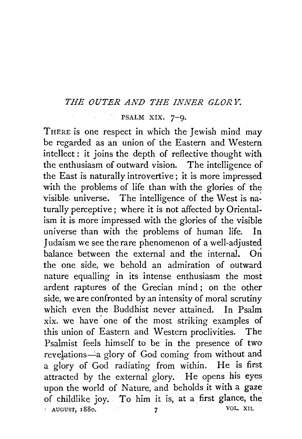## *THE OUTER AND THE INNER GLORY.*

## PSALM XIX. 7-9.

THERE is one respect in which the Jewish mind may be regarded as an union of the Eastern and Western intellect : it joins the depth of reflective thought with the enthusiasm of outward vision. The intelligence of the East is naturally introvertive; it is more impressed with the problems of life than with the glories of the visible universe. The intelligence of the West is naturally perceptive; where it is not affected by Orientalism it is more impressed with the glories of the visible universe than with the problems of human life. In I udaism we see the rare phenomenon of a well-adjusted balance between the external and the internal.  $On$ the one side, we behold an admiration of outward nature equalling in its intense enthusiasm the most ardent raptures of the Grecian mind ; on the other side, we are confronted by an intensity of moral scrutiny which even the Buddhist never attained. In Psalm xix. we have one of the most striking examples of this union of Eastern and Western proclivities. The Psalmist feels himself to . be in the presence of two revelations-a glory of God coming from without and a glory of God radiating from within. He is first attracted by the external glory. He opens his eyes. upon the world of Nature, and beholds it with a gaze of childlike joy. To him it is, at a first glance, the • AUGUST, 188o. 7 VOL. XII.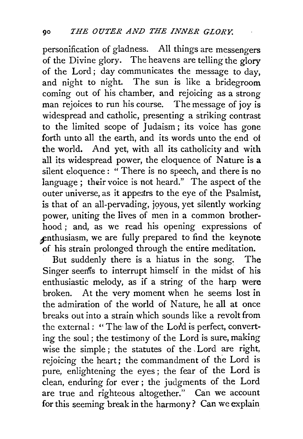personification of gladness. All things are messengers of the Divine glory. The heavens are telling the glory of the Lord; day communicates the message to day, and night to night. The sun is like a bridegroom coming out of his chamber, and rejoicing as a strong man rejoices to run his course. The message of joy is widespread and catholic, presenting a striking contrast to the limited scope of Judaism; its voice has gone forth unto all the earth, and its words unto the end of the world. And yet, with all its catholicity and with all its widespread power, the eloquence of Nature is a silent eloquence: "There is no speech, and there is no language; their voice is not heard." The aspect of the outer universe, as it appears to the eye of the Psalmist, is that of an all-pervading, joyous, yet silently working power, uniting the lives of men in a common brotherhood ; and, as we read his opening expressions of enthusiasm, we are fully prepared to find the keynote of his strain prolonged through the entire meditation.

But suddenly there is a hiatus in the song. The Singer seem's to interrupt himself in the midst of his enthusiastic melody, as if a string of the harp were broken. At the very moment when he seems lost in the admiration of the world of Nature, he all at once breaks out into a strain which sounds like a revolt from the external: "The law of the Lord is perfect, converting the soul ; the testimony of the Lord is sure, making wise the simple ; the statutes of the , Lord are right, rejoicing the heart; the commandment of the Lord is pure, enlightening the eyes ; the fear of the Lord is clean, enduring for ever ; the judgments of the Lord are true and righteous altogether." Can we account for this seeming break in the harmony? Can we explain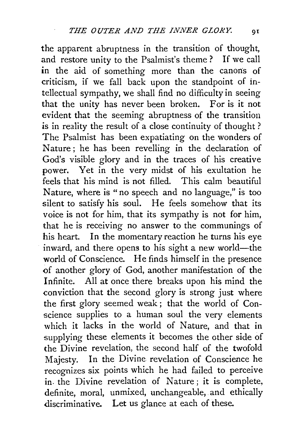the apparent abruptness in the transition of thought, and restore unity to the Psalmist's theme? If we call in the aid of something more than the canons of criticism, if we fall back upon the standpoint of intellectual sympathy, we shall find no difficulty in seeing that the unity has never been broken. For is it not evident that the seeming abruptness of the transition is in reality the result of a close continuity of thought? The Psalmist has been expatiating on the wonders of Nature ; he has been revelling in the declaration of God's visible glory and in the traces of his creative power. Yet in the very midst of his exultation he feels that his mind is not filled. This calm beautiful Nature, where is "no speech and no language," is too silent to satisfy his soul. He feels somehow that its voice is not for him, that its sympathy is not for him, that he is receiving no answer to the communings of his heart. In the momentary reaction he turns his eye inward, and there opens to his sight a new world—the world of Conscience. He finds himself in the presence of another glory of God, another manifestation of the Infinite. All at once there breaks upon his mind the conviction that the second glory is strong just where the first glory seemed weak ; that the world of Conscience supplies to a human soul the very elements which it lacks in the world of Nature, and that in supplying these elements it becomes the other side of the Divine revelation, the second half of the twofold Majesty. In the Divine revelation of Conscience he recognizes six points which he had failed to perceive in. the Divine revelation of Nature ; it is complete, definite, moral, unmixed, unchangeable, and ethically discriminative. Let us glance at each of these.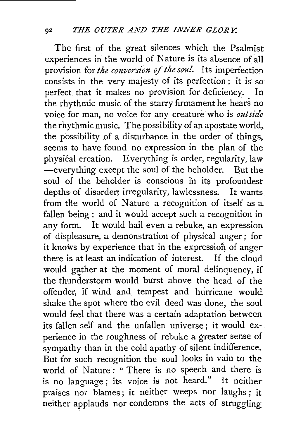The first of the great silences which the Psalmist experiences in the world of Nature is its absence of all provision for *the conversion of the soul*. Its imperfection consists in the very majesty of its perfection; it is so perfect that it makes no provision for deficiency. In the rhythmic music of the starry firmament he hears no voice for man, no voice for any creature who is *outside*  the rhythmic music. The possibility of an apostate world, the possibility of a disturbance in the order of things. seems to have found no expression in the plan of the physical creation. Everything is order, regularity, law -everything except the soul of the beholder. But the soul of the beholder is conscious in its profoundest depths of disorder; irregularity, lawlessness. It wants from the world of Nature a recognition of itself as a fallen being ; and it would accept such a recognition in any form. It would hail even a rebuke, an expression of displeasure, a demonstration of physical anger ; for it knows by experience that in the expression of anger there is at least an indication of interest. If the cloud would gather at the moment of moral delinquency, if the thunderstorm would burst above the head of the offender, if wind and tempest and hurricane would shake the spot where the evil deed was done, the soul would feel that there was a certain adaptation between its fallen self and the unfallen universe; it would experience in the roughness of rebuke a greater sense of sympathy than in the cold apathy of silent indifference. But for such recognition the soul looks in vain to the world of Nature: "There is no speech and there is is no language; its voice is not heard." It neither praises nor blames; it neither weeps nor laughs ; it neither applauds nor condemns the acts of struggling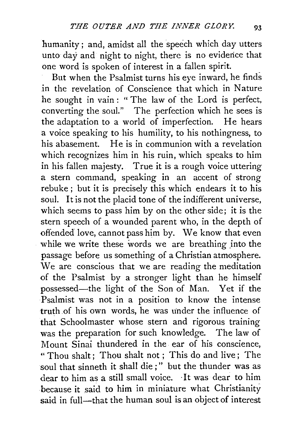humanity; and, amidst all the speech which day utters unto day and night to night, there is no evidence that one word is spoken of interest in a fallen spirit.

But when the Psalmist turns his eye inward, he finds in the revelation of Conscience that which in Nature he sought in vain: "The law of the Lord is perfect, converting the soul." The perfection which he sees is the adaptation to a world of imperfection. He hears a voice speaking to his humility, to his nothingness, to his abasement. He is in communion with a revelation which recognizes him in his ruin, which speaks to him in his fallen majesty. True it is a rough voice uttering a stern command, speaking in an accent of strong rebuke ; but it is precisely this which endears it to his soul. It is not the placid tone of the indifferent universe, which seems to pass him by on the other side; it is the stern speech of a wounded parent who, in the depth of offended love, cannot pass him by. We know that even while we write these words we are breathing into the passage before us something of a Christian atmosphere. We are conscious that we are reading the meditation of the Psalmist by a stronger light than he himself possessed-the light of the Son of Man. Yet if the Psalmist was not in a position to know the intense truth .of his own words, he was tinder the influence of that Schoolmaster whose stern and rigorous training was the preparation for such knowledge. The law of Mount Sinai thundered in the ear of his conscience, " Thou shalt ; Thou shalt not ; This do and live ; The soul that sinneth it shall die ; " but the thunder was as dear to him as a still small voice. ·It was dear to him because it said to him in miniature what Christianity said in full-that the human soul is an object of interest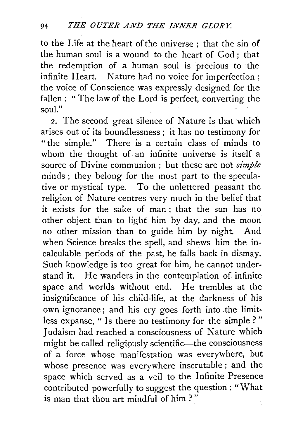to the Life at the heart of the universe ; that the sin of the human soul is a wound to the heart of God ; that the redemption of a human soul is precious to the infinite Heart. Nature had no voice for imperfection ; the voice of Conscience was expressly designed for the fallen : "The law of the Lord is perfect, converting the soul."

2. The second great silence of Nature is that which arises out of its boundlessness ; it has no testimony for " the simple." There is a certain class of minds to whom the thought of an infinite universe is itself a source of Divine communion ; but these are not *simple*  minds ; they belong for the most part to the speculative or mystical type. To the unlettered peasant the religion of Nature centres very much in the belief that it exists for the sake of man; that the sun has no other object than to light him by day, and the moon no other mission than to guide him by night. And when Science breaks the spell, and shews him the incalculable periods of the past, he falls back in dismay. Such knowledge is too great for him, he cannot understand it. He wanders in the contemplation of infinite space and worlds without end. He trembles at the insignificance of his child-life, at the darkness of his own ignorance; and his cry goes forth into .the limit~ less expanse, " Is there no testimony for the simple ? " Judaism had reached a consciousness of Nature which might be called religiously scientific-the consciousness of a force whose manifestation was everywhere, but whose presence was everywhere inscrutable ; and the space which served as a veil to the Infinite Presence contributed powerfully to suggest the question: "What is man that thou art mindful of him ? "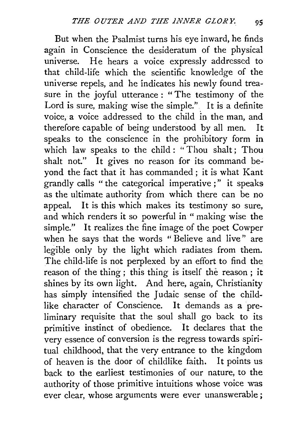But when the Psalmist turns his eye inward, he finds again in Conscience the desideratum of the physical universe. He hears a voice expressly addressed to that child-life which the scientific knowledge of the universe repels, and he indicates his newly found treasure in the joyful utterance : "The testimony of the Lord is sure, making wise the simple." It is a definite voice, a voice addressed to the child in the man, and therefore capable of being understood by all men. It speaks to the conscience in the prohibitory form in which law speaks to the child: "Thou shalt; Thou shalt not." It gives no reason for its command beyond the fact that it has commanded ; it is what Kant grandly calls "the categorical imperative ; " it speaks as the ultimate authority from which there can be no appeal. It is this which makes its testimony so sure, and which renders it so powerful in " making wise the simple." It realizes the fine image of the poet Cowper when he says that the words "Believe and live" are legible only by the light which radiates from them. The child-life is not perplexed by an effort to find the reason of the thing ; this thing is itself the reason ; it shines by its own light. And here, again, Christianity has simply intensified the Judaic sense of the childlike character of Conscience. It demands as a preliminary requisite that the soul shall go back to its primitive instinct of obedience. It declares that the very essence of conversion is the regress towards spiritual childhood, that the very entrance to the kingdom of heaven is the door of childlike faith. It points us back to the earliest testimonies of our nature, to the authority of those primitive intuitions whose voice was ever clear, whose arguments were ever unanswerable ;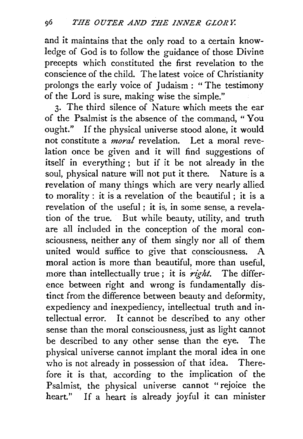and it maintains that the only road to a certain knowledge of God is to follow the guidance of those Divine precepts which constituted the first revelation to the conscience of the child. The latest voice of Christianity prolongs the early voice of Judaism : "The testimony of the Lord is sure, making wise the simple."

3· The third silence of Nature which meets the ear of the Psalmist is the absence of the command, " You ought." If the physical universe stood alone, it would not constitute a *moral* revelation. Let a moral revelation once be given and it will find suggestions of itself in everything; but if it be not already in the soul, physical nature will not put it there. Nature is a revelation of many things which are very nearly allied to morality: it is a revelation of the beautiful ; it is a revelation of the useful ; it is, in some sense, a revelation of the true. But while beauty, utility, and truth are all included in the conception of the moral consciousness, neither any of them singly nor all of them united would suffice to give that consciousness. A moral action is more than beautiful, more than useful, more than intellectually true; it is *right*. The difference between right and wrong is fundamentally distinct from the difference between beauty and deformity, expediency and inexpediency, intellectual truth and intellectual error. It 'cannot be described to any other sense than the moral consciousness, just as light cannot be described to any other sense than the eye. The physical universe cannot implant the moral idea in one who is not already in possession of that idea. Therefore it is that, according to the implication of the Psalmist, the physical universe cannot "rejoice the heart." If a heart is already joyful it can minister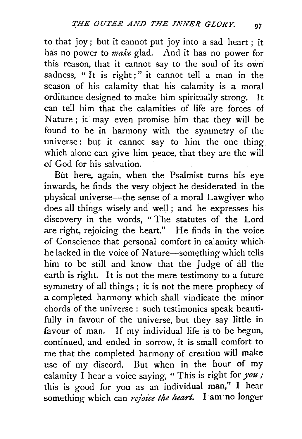to that joy; but it cannot put joy into a sad heart ; it has no power to *make* glad. And it has no power for this reason, that it cannot say to the soul of its own sadness, " It is right;" it cannot tell a man in the season of his calamity that his calamity is a moral ordinance designed to make him spiritually strong. It can tell him that the calamities of life are forces of Nature ; it may even promise him that they will be found to be in harmony with the symmetry of the universe: but it cannot say to him the one thing. which alone can give him peace, that they are the will of God for his salvation.

But here, again, when the Psalmist turns his eye inwards, he finds the very object he desiderated in the physical universe-the sense of a moral Lawgiver who does all things wisely and well ; and he expresses his discovery in the words, "The statutes of the Lord are right, rejoicing the heart." He finds in the voice of Conscience that personal comfort in calamity which he lacked in the voice of Nature-something which tells him to be still and know that the Judge of all the earth is right. It is not the mere testimony to a future symmetry of all things ; it is not the mere prophecy of a completed harmony which shall vindicate the minor chords of the universe : such testimonies speak beautifully in favour of the universe, but they say little in favour of man. If my individual life is to be begun, continued, and ended in sorrow, it is small comfort to me that the completed harmony of creation will make use of my discord. But when in the hour of my calamity I hear a voice saying, "This is right for you; this is good for you as an individual man,'' I hear something which can *rejoice the heart*. I am no longer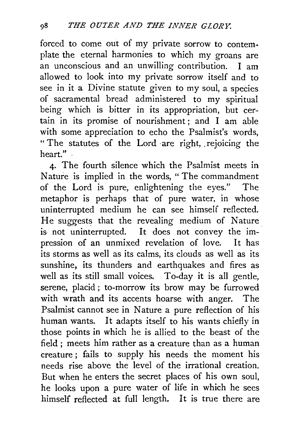forced to come out of my private sorrow to contemplate the eternal harmonies to which my groans are an unconscious and an unwilling contribution. I am allowed to look into my private sorrow itself and to see in it a Divine statute given to my soul, a species of sacramental bread administered to my spiritual being which is bitter in its appropriation, but certain in its promise of nourishment ; and I am able with some appreciation to echo the Psalmist's words, " The statutes of the Lord are right, rejoicing the heart." .

4· The fourth silence which the Psalmist meets in Nature is implied in the words, " The commandment of the Lord is pure, enlightening the eyes." The metaphor is perhaps that of pure water, in whose uninterrupted medium he can see himself reflected. He suggests that the revealing medium of Nature. is not uninterrupted. It does not convey the impression of an unmixed revelation of love. It has its storms as well as its calms, its clouds as well as its sunshine, its thunders and earthquakes and fires as well as its still small voices. To-day it is all gentle, serene, placid; to-morrow its brow may be furrowed with wrath and its accents hoarse with anger. The Psalmist cannot see in Nature a pure reflection of his human wants. It adapts itself to his wants chiefly in those points in which he is allied to the beast of the field ; meets him rather as a creature than as a human creature ; fails to supply his needs the moment his needs rise above the level of the irrational creation. But when he enters the secret places of his own soul, he looks upon a pure water of life in which he sees himself reflected at full length. It is true there are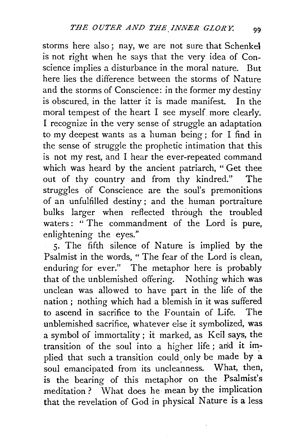storms here also; nay, we are not sure that Schenkel is not right when he says that the very idea of Conscience implies a disturbance in the moral nature. But here lies the difference between the storms of Nature and the storms of Conscience: in the former my destiny is obscured, in the latter it is made manifest. In the moral tempest of the heart I see myself more clearly. I recognize in the very sense of struggle an adaptation to my deepest wants as a human being ; for I find in the sense of struggle the prophetic intimation that this is not my rest, and I hear the ever-repeated command which was heard by the ancient patriarch, " Get thee out of thy country and from thy kindred." The struggles of Conscience are the soul's premonitions of an unfulfilled destiny ; and the human portraiture bulks larger when reflected through the troubled waters: "The commandment of the Lord is pure, enlightening the eyes."

5· The fifth silence of Nature is implied by the Psalmist in the words, " The fear of the Lord is clean, enduring for ever." The metaphor here is probably that of the unblemished offering. Nothing which was unclean was allowed to have part in the life of the nation ; nothing which had a blemish in it was suffered to ascend in sacrifice to the Fountain of Life. The unblemished sacrifice, whatever else it symbolized, was a symbol of immortality ; it marked, as Keil says, the transition of the soul into a higher life; and it implied that such a transition could. only be made by a soul emancipated from its uncleanness. What, then, is the bearing of this metaphor on the Psalmist's meditation ? What does he mean by the implication that the revelation of God in physical Nature is a less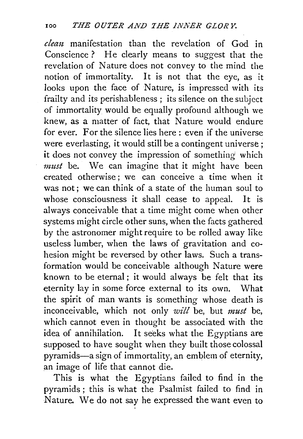*clean* manifestation than the revelation of God in Conscience ? He clearly means to suggest that the revelation of Nature does not convey to the mind the notion of immortality. It is not that the eye, as it looks upon the face of Nature, is impressed with its frailty and its perishableness ; its silence on the subject of immortality would be equally profound although we knew, as a matter of fact, that Nature would endure for ever. For the silence lies here: even if the universe were everlasting, it would still be a contingent universe; it does not convey the impression of something which *must* be. We can imagine that it might have been created otherwise ; we can conceive a time when it was not; we can think of a state of the human soul to whose consciousness it shall cease to appeal. It is always conceivable that a time might come when other systems might circle other suns, when the facts gathered by the astronomer might require to be rolled away like useless lumber, when the laws of gravitation and cohesion might be reversed by other laws. Such a transformation would be conceivable although Nature were known to be eternal; it would always be felt that its eternity lay in some force external to its own. What the spirit of man wants is something whose death is inconceivable, which not only *will* be, but *must* be, which cannot even in thought be associated with the idea of annihilation. It seeks what the Egyptians are supposed to have sought when they built those colossal pyramids-a sign of immortality, an emblem of eternity, an image of life that cannot die.

This is what the Egyptians failed to find in the pyramids ; this is what the Psalmist failed to find in Nature. We do not say he expressed the want even to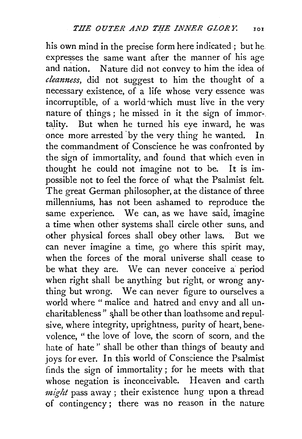his own mind in the precise form here indicated ; but he expresses the same want after the manner of his age and nation. Nature did not convey to him the idea of *cleamzess,* did not suggest to him the thought of a necessary existence, of a life whose very essence was incorruptible, of a world which must live in the very nature of things ; he missed in it the sign of immor-. tality. But when he turned his eye inward, he was once more arrested 'by the very thing he wanted. In the commandment of Conscience he was confronted by the sign of immortality, and found that which even in thought he could not imagine not to be. It is impossible not to feel the force of what the Psalmist felt. The great German philosopher, at the distance of three millenniums, has not been ashamed to reproduce the same experience. We can, as we have said, imagine a time when other systems shall circle other suns, and other physical forces shall obey other laws. But we can never imagine a time, go where this spirit may, when the forces of the moral universe shall cease to be what they are. We can never conceive a period when right shall be anything but right, or wrong anything but wrong. We can never figure to ourselves a world where "malice and hatred and envy and all uncharitableness" shall be other than loathsome and repulsive, where integrity, uprightness, purity of heart, benevolence, " the love of love, the scorn of scorn, and the hate of hate " shall be other than things of beauty and joys for ever. In this world of Conscience the Psalmist finds the sign of immortality ; for he meets with that whose negation is inconceivable. Heaven and earth might pass away; their existence hung upon a thread of contingency ; there was no reason in the nature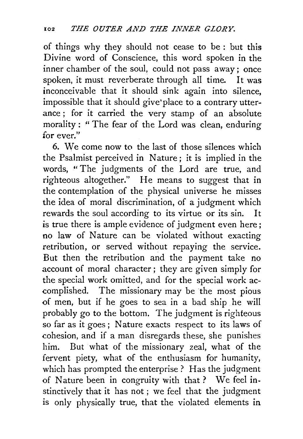of things why they should not cease to be : but this Divine word of Conscience, this word spoken in the inner chamber of the soul, could not pass away; once spoken, it must reverberate through all time. It was inconceivable that it should sink again into silence, impossible that it should give' place to a contrary utterance ; for it carried the very stamp of an absolute morality : " The fear of the Lord was clean, enduring for ever."

6. We come now to the last of those silences which the Psalmist perceived in Nature; it is implied in the words, "The judgments of the Lord are true, and righteous altogether." He means to suggest that in the contemplation of the physical universe he misses the idea of moral discrimination, of a judgment which rewards the soul according to its virtue or its sin. It is true there is ample evidence of judgment even here; no law of Nature can be violated without exacting retribution, or served without repaying the service. But then the retribution and the payment take no account of moral character; they are given simply for the special work omitted, and for the special work accomplished. The missionary may be the most pious of men, but if he goes to sea in a bad ship he will probably go to the bottom. The judgment is righteous so far as it goes; Nature exacts respect to its laws of cohesion, and if a man disregards these, she punishes him. But what of the missionary zeal, what of the fervent piety, what of the enthusiasm for humanity, which has prompted the enterprise? Has the judgment of Nature been in congruity with that ? We feel instinctively that it has not ; we feel that the judgment is only physically true, that the violated elements in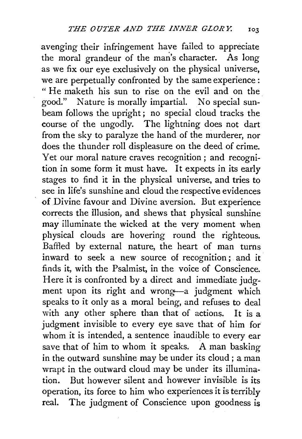avenging their infringement have failed to appreciate the moral grandeur of the man's character. As long as we fix our eye exclusively on the physical universe, we are perpetually confronted by the same experience : " He maketh his sun to rise on the evil and on the good." Nature is morally impartial. No special sunbeam follows the upright; no special cloud tracks the course of the ungodly. The lightning does not dart from the sky to paralyze the hand of the murderer, nor does the thunder roll displeasure on the deed of crime. Yet our moral nature craves recognition ; and recognition in some form it must have. It expects in its early stages to find it in the physical universe, and tries to see in life's sunshine and cloud the respective evidences of Divine favour and Divine aversion. But experience corrects the illusion, and shews that physical sunshine may illuminate the wicked at the very moment when physical clouds are hovering round the righteous. Baffled by external nature, the heart of man turns inward to seek a new source of recognition ; and it finds it, with the Psalmist, in the voice of Conscience. Here it is confronted by a direct and immediate judgment upon its right and wrong-a judgment which speaks to it only as a moral being, and refuses to deal with any other sphere than that of actions. It is a judgment invisible to every eye save that of him for whom it is intended, a sentence inaudible to every ear save that of him to whom it speaks. A man basking in the outward sunshine may be under its cloud ; a man wrapt in the outward cloud may be under its illumination. But however silent and however invisible is its operation, its force to him who experiences it is terribly real. The judgment of Conscience upon goodness is